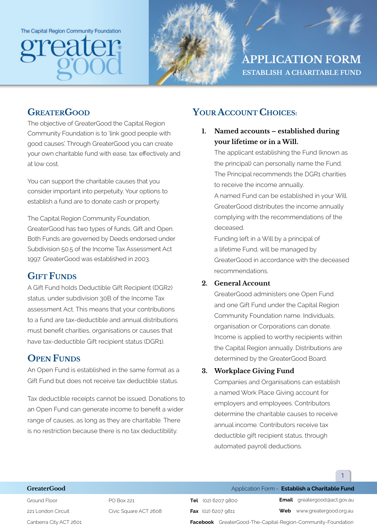The Capital Region Community Foundation





**APPLICATION FORM ESTABLISH A CHARITABLE FUND**

### **GREATERGOOD**

The objective of GreaterGood the Capital Region Community Foundation is to 'link good people with good causes'. Through GreaterGood you can create your own charitable fund with ease, tax efectively and at low cost.

You can support the charitable causes that you consider important into perpetuity. Your options to establish a fund are to donate cash or property.

The Capital Region Community Foundation, GreaterGood has two types of funds, Gift and Open. Both Funds are governed by Deeds endorsed under Subdivision 50.5 of the Income Tax Assessment Act 1997. GreaterGood was established in 2003.

## **GIFT FUNDS**

A Gift Fund holds Deductible Gift Recipient (DGR2) status, under subdivision 30B of the Income Tax assessment Act. This means that your contributions to a fund are tax-deductible and annual distributions must beneft charities, organisations or causes that have tax-deductible Gift recipient status (DGR1).

# **OPEN FUNDS**

An Open Fund is established in the same format as a Gift Fund but does not receive tax deductible status.

Tax deductible receipts cannot be issued. Donations to an Open Fund can generate income to beneft a wider range of causes, as long as they are charitable. There is no restriction because there is no tax deductibility.

# **YOUR ACCOUNT CHOICES:**

**1. Named accounts – established during your lifetime or in a Will.**

The applicant establishing the Fund (known as the principal) can personally name the Fund. The Principal recommends the DGR1 charities to receive the income annually.

A named Fund can be established in your Will. GreaterGood distributes the income annually complying with the recommendations of the deceased.

Funding left in a Will by a principal of a lifetime Fund, will be managed by GreaterGood in accordance with the deceased recommendations.

#### **2. General Account**

GreaterGood administers one Open Fund and one Gift Fund under the Capital Region Community Foundation name. Individuals, organisation or Corporations can donate. Income is applied to worthy recipients within the Capital Region annually. Distributions are determined by the GreaterGood Board.

#### **3. Workplace Giving Fund**

Companies and Organisations can establish a named Work Place Giving account for employers and employees. Contributors determine the charitable causes to receive annual income. Contributors receive tax deductible gift recipient status, through automated payroll deductions.

1

Ground Floor 221 London Circuit Canberra City ACT 2601

PO Box 221 Civic Square ACT 2608

**GreaterGood Application Form - Establish a Charitable Fund Tel** (02) 6207 9800

**Fax** (02) 6207 9811

**Email** greatergood@act.gov.au

**Web** www.greatergood.org.au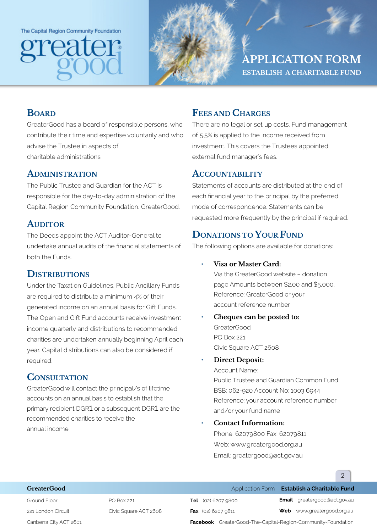The Capital Region Community Foundation





**APPLICATION FORM ESTABLISH A CHARITABLE FUND**

## **BOARD**

GreaterGood has a board of responsible persons, who contribute their time and expertise voluntarily and who advise the Trustee in aspects of charitable administrations.

#### **ADMINISTRATION**

The Public Trustee and Guardian for the ACT is responsible for the day-to-day administration of the Capital Region Community Foundation, GreaterGood.

#### **AUDITOR**

The Deeds appoint the ACT Auditor-General to undertake annual audits of the fnancial statements of both the Funds.

## **DISTRIBUTIONS**

Under the Taxation Guidelines, Public Ancillary Funds are required to distribute a minimum 4% of their generated income on an annual basis for Gift Funds. The Open and Gift Fund accounts receive investment income quarterly and distributions to recommended charities are undertaken annually beginning April each year. Capital distributions can also be considered if required.

## **CONSULTATION**

GreaterGood will contact the principal/s of lifetime accounts on an annual basis to establish that the primary recipient DGR1 or a subsequent DGR1 are the recommended charities to receive the annual income.

## **FEES AND CHARGES**

There are no legal or set up costs. Fund management of 5.5% is applied to the income received from investment. This covers the Trustees appointed external fund manager's fees.

#### **ACCOUNTABILITY**

Statements of accounts are distributed at the end of each fnancial year to the principal by the preferred mode of correspondence. Statements can be requested more frequently by the principal if required.

# **DONATIONS TO YOUR FUND**

The following options are available for donations:

• **Visa or Master Card:**

Via the GreaterGood website – donation page Amounts between \$2.00 and \$5,000. Reference: GreaterGood or your account reference number

• **Cheques can be posted to:** GreaterGood PO Box 221 Civic Square ACT 2608

#### • **Direct Deposit:**

Account Name: Public Trustee and Guardian Common Fund BSB: 062-920 Account No: 1003 6944 Reference: your account reference number and/or your fund name

#### • **Contact Information:**

Phone: 62079800 Fax: 62079811 Web: www.greatergood.org.au Email: greatergood@act.gov.au

#### **GreaterGood Application Form - Establish a Charitable Fund**

Ground Floor 221 London Circuit Canberra City ACT 2601 PO Box 221 Civic Square ACT 2608 **Tel** (02) 6207 9800 **Fax** (02) 6207 9811

**Email** greatergood@act.gov.au

**Web** www.greatergood.org.au

 $\mathfrak{D}$